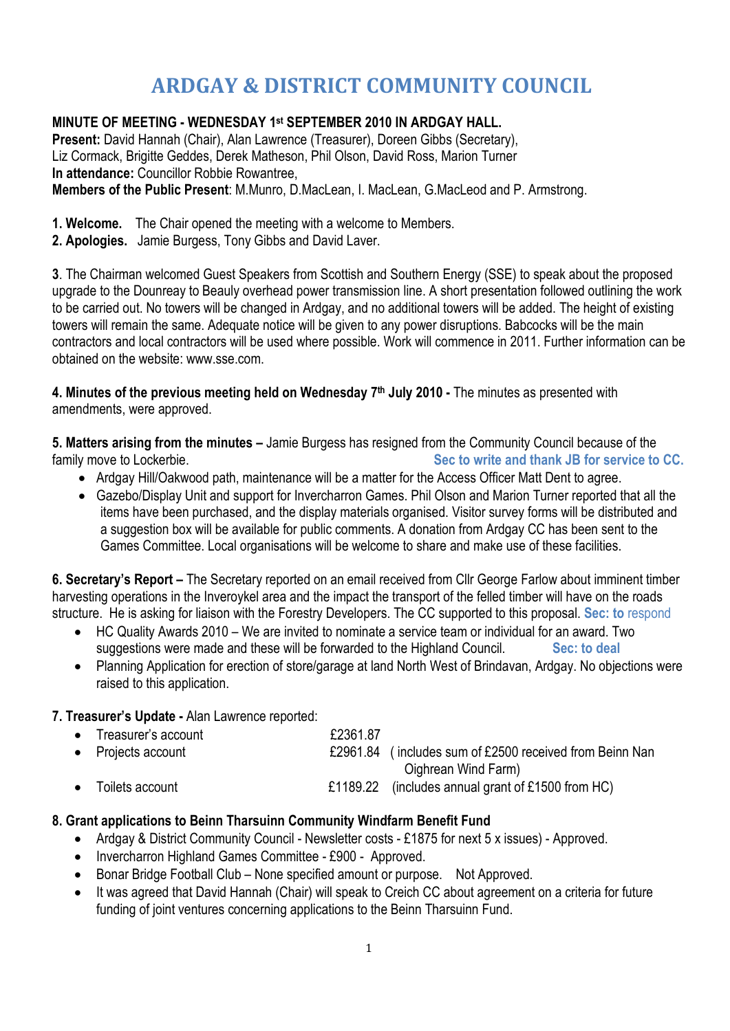# **ARDGAY & DISTRICT COMMUNITY COUNCIL**

#### **MINUTE OF MEETING - WEDNESDAY 1st SEPTEMBER 2010 IN ARDGAY HALL.**

**Present:** David Hannah (Chair), Alan Lawrence (Treasurer), Doreen Gibbs (Secretary), Liz Cormack, Brigitte Geddes, Derek Matheson, Phil Olson, David Ross, Marion Turner **In attendance:** Councillor Robbie Rowantree, **Members of the Public Present**: M.Munro, D.MacLean, I. MacLean, G.MacLeod and P. Armstrong.

**1. Welcome.** The Chair opened the meeting with a welcome to Members.

**2. Apologies.** Jamie Burgess, Tony Gibbs and David Laver.

**3**. The Chairman welcomed Guest Speakers from Scottish and Southern Energy (SSE) to speak about the proposed upgrade to the Dounreay to Beauly overhead power transmission line. A short presentation followed outlining the work to be carried out. No towers will be changed in Ardgay, and no additional towers will be added. The height of existing towers will remain the same. Adequate notice will be given to any power disruptions. Babcocks will be the main contractors and local contractors will be used where possible. Work will commence in 2011. Further information can be obtained on the website: www.sse.com.

**4. Minutes of the previous meeting held on Wednesday 7th July 2010 -** The minutes as presented with amendments, were approved.

**5. Matters arising from the minutes –** Jamie Burgess has resigned from the Community Council because of the family move to Lockerbie. **Sec to write and thank JB for service to CC.** 

- Ardgay Hill/Oakwood path, maintenance will be a matter for the Access Officer Matt Dent to agree.
- Gazebo/Display Unit and support for Invercharron Games. Phil Olson and Marion Turner reported that all the items have been purchased, and the display materials organised. Visitor survey forms will be distributed and a suggestion box will be available for public comments. A donation from Ardgay CC has been sent to the Games Committee. Local organisations will be welcome to share and make use of these facilities.

**6. Secretary's Report –** The Secretary reported on an email received from Cllr George Farlow about imminent timber harvesting operations in the Inveroykel area and the impact the transport of the felled timber will have on the roads structure. He is asking for liaison with the Forestry Developers. The CC supported to this proposal. **Sec: to** respond

- HC Quality Awards 2010 We are invited to nominate a service team or individual for an award. Two suggestions were made and these will be forwarded to the Highland Council. **Sec: to deal**
- Planning Application for erection of store/garage at land North West of Brindavan, Ardgay. No objections were raised to this application.

**7. Treasurer's Update -** Alan Lawrence reported:

| • Treasurer's account | £2361.87                                                |
|-----------------------|---------------------------------------------------------|
| • Projects account    | £2961.84 (includes sum of £2500 received from Beinn Nan |
|                       | Oighrean Wind Farm)                                     |
| • Toilets account     | £1189.22 (includes annual grant of £1500 from HC)       |

## **8. Grant applications to Beinn Tharsuinn Community Windfarm Benefit Fund**

- Ardgay & District Community Council Newsletter costs £1875 for next 5 x issues) Approved.
- Invercharron Highland Games Committee £900 Approved.
- Bonar Bridge Football Club None specified amount or purpose. Not Approved.
- It was agreed that David Hannah (Chair) will speak to Creich CC about agreement on a criteria for future funding of joint ventures concerning applications to the Beinn Tharsuinn Fund.